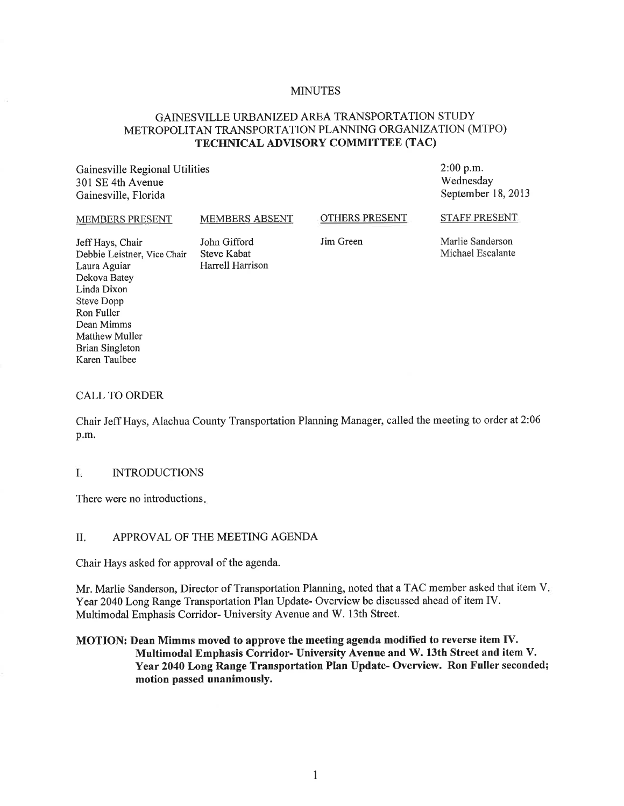#### **MINUTES**

## GAINESVILLE URBANIZED AREA TRANSPORTATION STUDY METROPOLITAN TRANSPORTATION PLANNING ORGANIZATION (MTPO) TECHNICAL ADVISORY COMMITTEE (TAC)

Gainesville Regional Utilities 301 SE 4th Avenue Gainesville, Florida

2:00 p.m. Wednesday September 18, 2013

#### MEMBERS PRESENT MEMBERS ABSENT

OTHERS PRESENT

STAFF PRESENT

Jeff Hays, Chair John Gifford<br>Debbie Leistner. Vice Chair Steve Kabat Debbie Leistner, Vice Chair Laura Aguiar **Harrell Harrison** Dekova Batey Linda Dixon Steve Dopp Ron Fuller Dean Mimms Matthew Muller Brian Singleton Karen Taulbee

Jim Green

Marlie Sanderson Michael Escalante

#### CALL TO ORDER

Chair Jeff Hays, Alachua County Transportation Planning Manager, called the meeting to order at 2:06 p.m.

#### I. INTRODUCTIONS

There were no introductions.

#### II. APPROVAL OF THE MEETING AGENDA

Chair Hays asked for approval of the agenda.

Mr. Marlie Sanderson, Director of Transportation Planning, noted that a TAC member asked that item V. Year 2040 Long Range Transportation Plan Update- Overview be discussed ahead of item IV. Multimodal Emphasis Corridor- University Avenue and W. 13th Street.

#### MOTION: Dean Mimms moved to approve the meeting agenda modified to reverse item IV. Multimodal Emphasis Corridor- University Avenue and W.13th Street and item V. Year 2040 Long Range Transportation Plan Update- Overview. Ron Fuller seconded; motion passed unanimously.